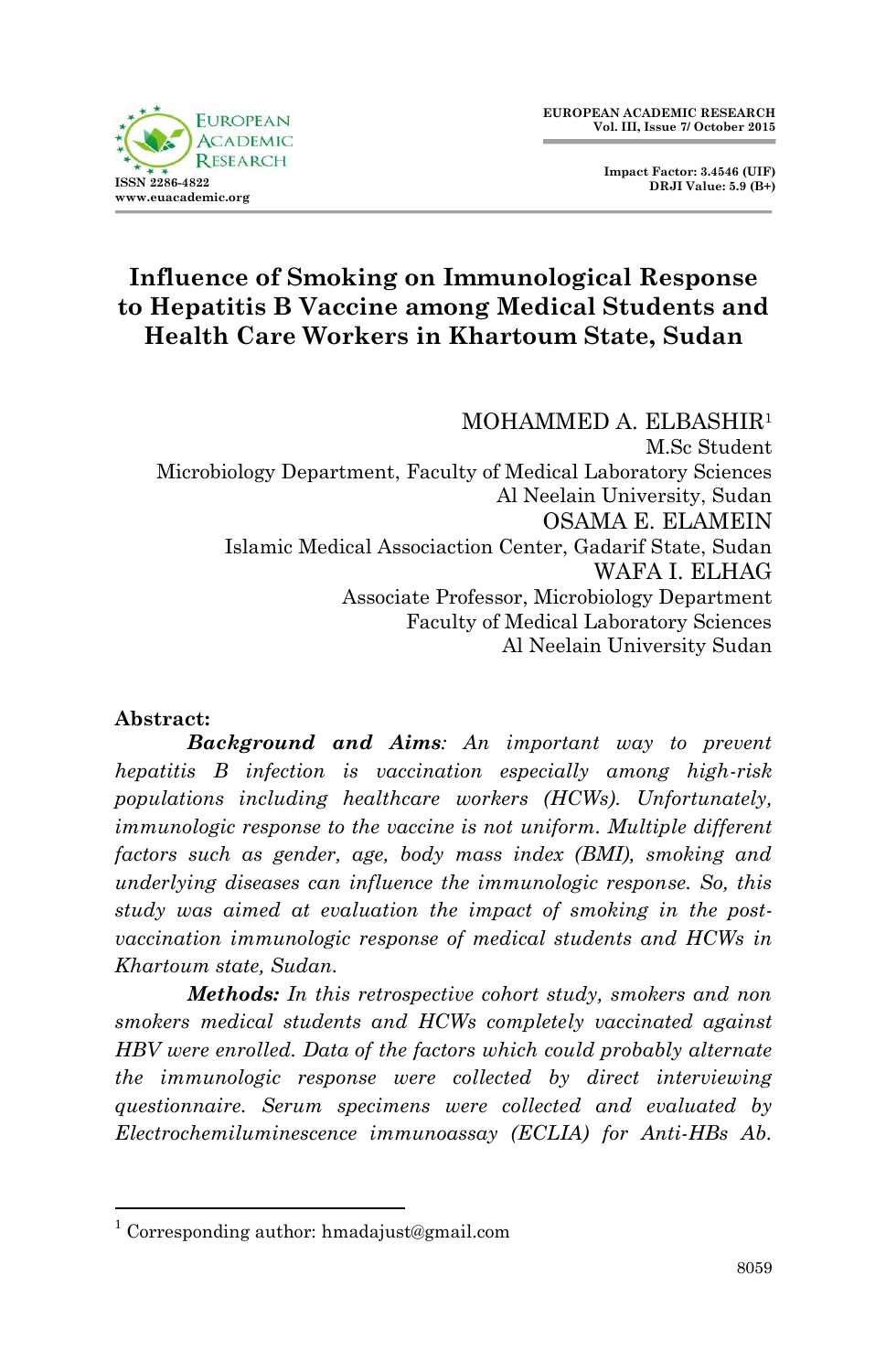

 **Impact Factor: 3.4546 (UIF) DRJI Value: 5.9 (B+)**

# **Influence of Smoking on Immunological Response to Hepatitis B Vaccine among Medical Students and Health Care Workers in Khartoum State, Sudan**

MOHAMMED A. ELBASHIR<sup>1</sup> M.Sc Student Microbiology Department, Faculty of Medical Laboratory Sciences Al Neelain University, Sudan OSAMA E. ELAMEIN Islamic Medical Associaction Center, Gadarif State, Sudan WAFA I. ELHAG Associate Professor, Microbiology Department Faculty of Medical Laboratory Sciences Al Neelain University Sudan

#### **Abstract:**

**.** 

*Background and Aims: An important way to prevent hepatitis B infection is vaccination especially among high-risk populations including healthcare workers (HCWs). Unfortunately, immunologic response to the vaccine is not uniform. Multiple different factors such as gender, age, body mass index (BMI), smoking and underlying diseases can influence the immunologic response. So, this study was aimed at evaluation the impact of smoking in the postvaccination immunologic response of medical students and HCWs in Khartoum state, Sudan.*

*Methods: In this retrospective cohort study, smokers and non smokers medical students and HCWs completely vaccinated against HBV were enrolled. Data of the factors which could probably alternate the immunologic response were collected by direct interviewing questionnaire. Serum specimens were collected and evaluated by Electrochemiluminescence immunoassay (ECLIA) for Anti-HBs Ab.* 

<sup>&</sup>lt;sup>1</sup> Corresponding author: hmadajust@gmail.com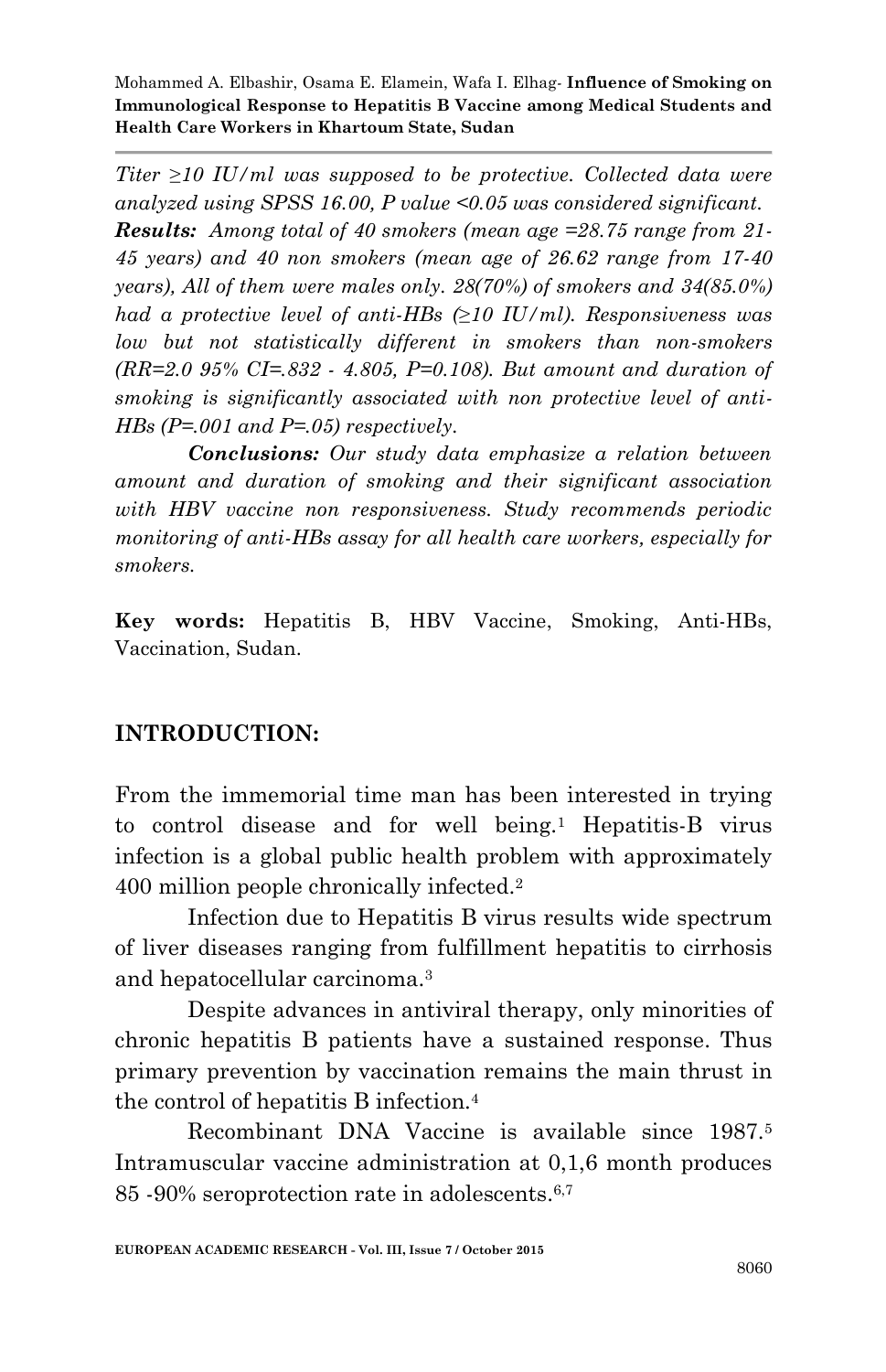*Titer ≥10 IU/ml was supposed to be protective. Collected data were analyzed using SPSS 16.00, P value <0.05 was considered significant. Results: Among total of 40 smokers (mean age =28.75 range from 21- 45 years) and 40 non smokers (mean age of 26.62 range from 17-40 years), All of them were males only. 28(70%) of smokers and 34(85.0%) had a protective level of anti-HBs (≥10 IU/ml). Responsiveness was low but not statistically different in smokers than non-smokers (RR=2.0 95% CI=.832 - 4.805, P=0.108). But amount and duration of smoking is significantly associated with non protective level of anti-HBs (P=.001 and P=.05) respectively.*

*Conclusions: Our study data emphasize a relation between amount and duration of smoking and their significant association with HBV vaccine non responsiveness. Study recommends periodic monitoring of anti-HBs assay for all health care workers, especially for smokers.*

**Key words:** Hepatitis B, HBV Vaccine, Smoking, Anti-HBs, Vaccination, Sudan.

## **INTRODUCTION:**

From the immemorial time man has been interested in trying to control disease and for well being.<sup>1</sup> Hepatitis-B virus infection is a global public health problem with approximately 400 million people chronically infected.<sup>2</sup>

Infection due to Hepatitis B virus results wide spectrum of liver diseases ranging from fulfillment hepatitis to cirrhosis and hepatocellular carcinoma.<sup>3</sup>

Despite advances in antiviral therapy, only minorities of chronic hepatitis B patients have a sustained response. Thus primary prevention by vaccination remains the main thrust in the control of hepatitis B infection.<sup>4</sup>

Recombinant DNA Vaccine is available since 1987.<sup>5</sup> Intramuscular vaccine administration at 0,1,6 month produces 85 -90% seroprotection rate in adolescents.6,7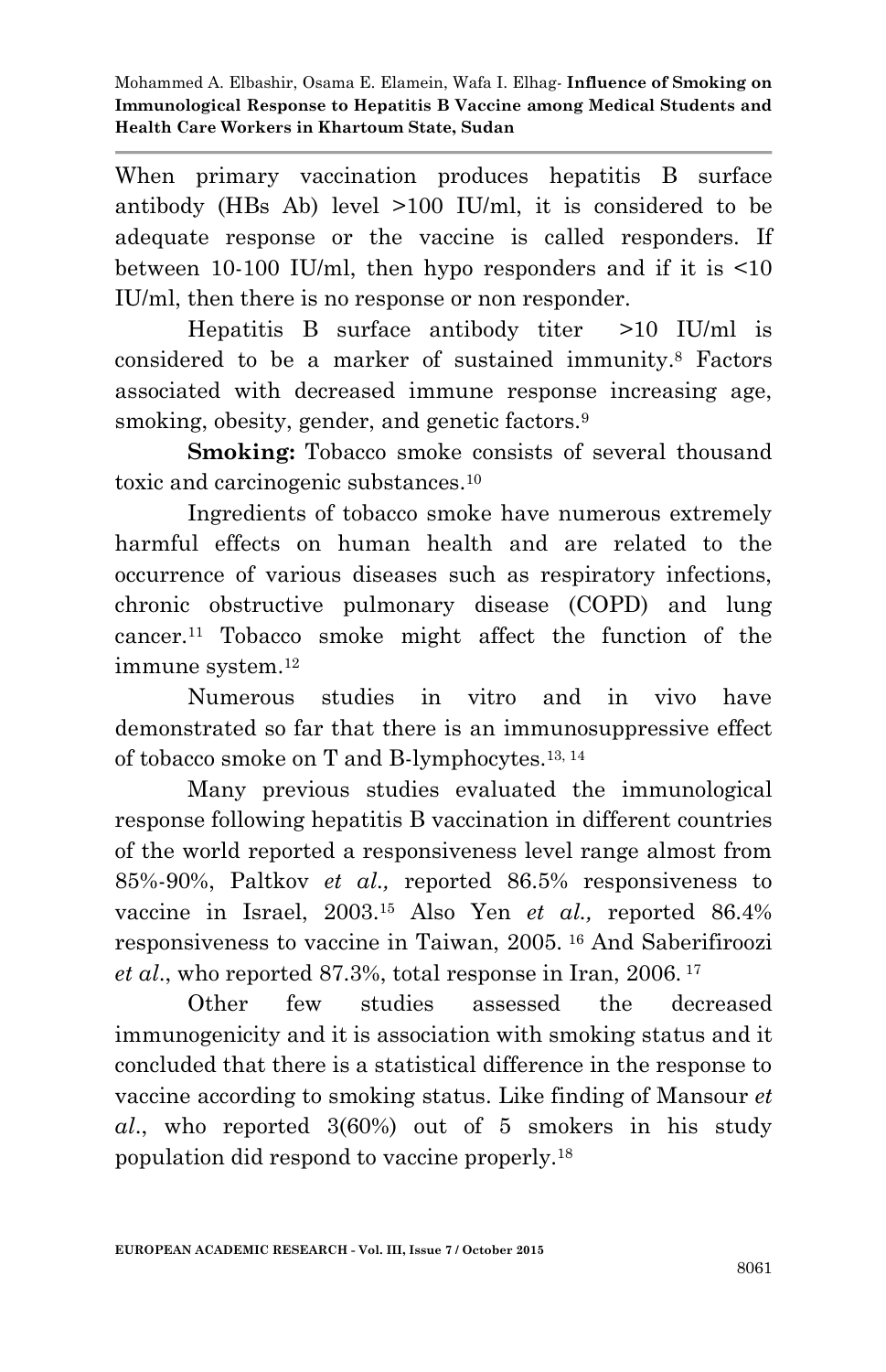When primary vaccination produces hepatitis B surface antibody (HBs Ab) level >100 IU/ml, it is considered to be adequate response or the vaccine is called responders. If between 10-100 IU/ml, then hypo responders and if it is <10 IU/ml, then there is no response or non responder.

Hepatitis B surface antibody titer >10 IU/ml is considered to be a marker of sustained immunity. <sup>8</sup> Factors associated with decreased immune response increasing age, smoking, obesity, gender, and genetic factors.<sup>9</sup>

**Smoking:** Tobacco smoke consists of several thousand toxic and carcinogenic substances.<sup>10</sup>

Ingredients of tobacco smoke have numerous extremely harmful effects on human health and are related to the occurrence of various diseases such as respiratory infections, chronic obstructive pulmonary disease (COPD) and lung cancer.<sup>11</sup> Tobacco smoke might affect the function of the immune system.<sup>12</sup>

Numerous studies in vitro and in vivo have demonstrated so far that there is an immunosuppressive effect of tobacco smoke on T and B-lymphocytes.13, 14

Many previous studies evaluated the immunological response following hepatitis B vaccination in different countries of the world reported a responsiveness level range almost from 85%-90%, Paltkov *et al.,* reported 86.5% responsiveness to vaccine in Israel, 2003.<sup>15</sup> Also Yen *et al.,* reported 86.4% responsiveness to vaccine in Taiwan, 2005. <sup>16</sup> And Saberifiroozi *et al*., who reported 87.3%, total response in Iran, 2006. <sup>17</sup>

Other few studies assessed the decreased immunogenicity and it is association with smoking status and it concluded that there is a statistical difference in the response to vaccine according to smoking status. Like finding of Mansour *et al*., who reported 3(60%) out of 5 smokers in his study population did respond to vaccine properly.18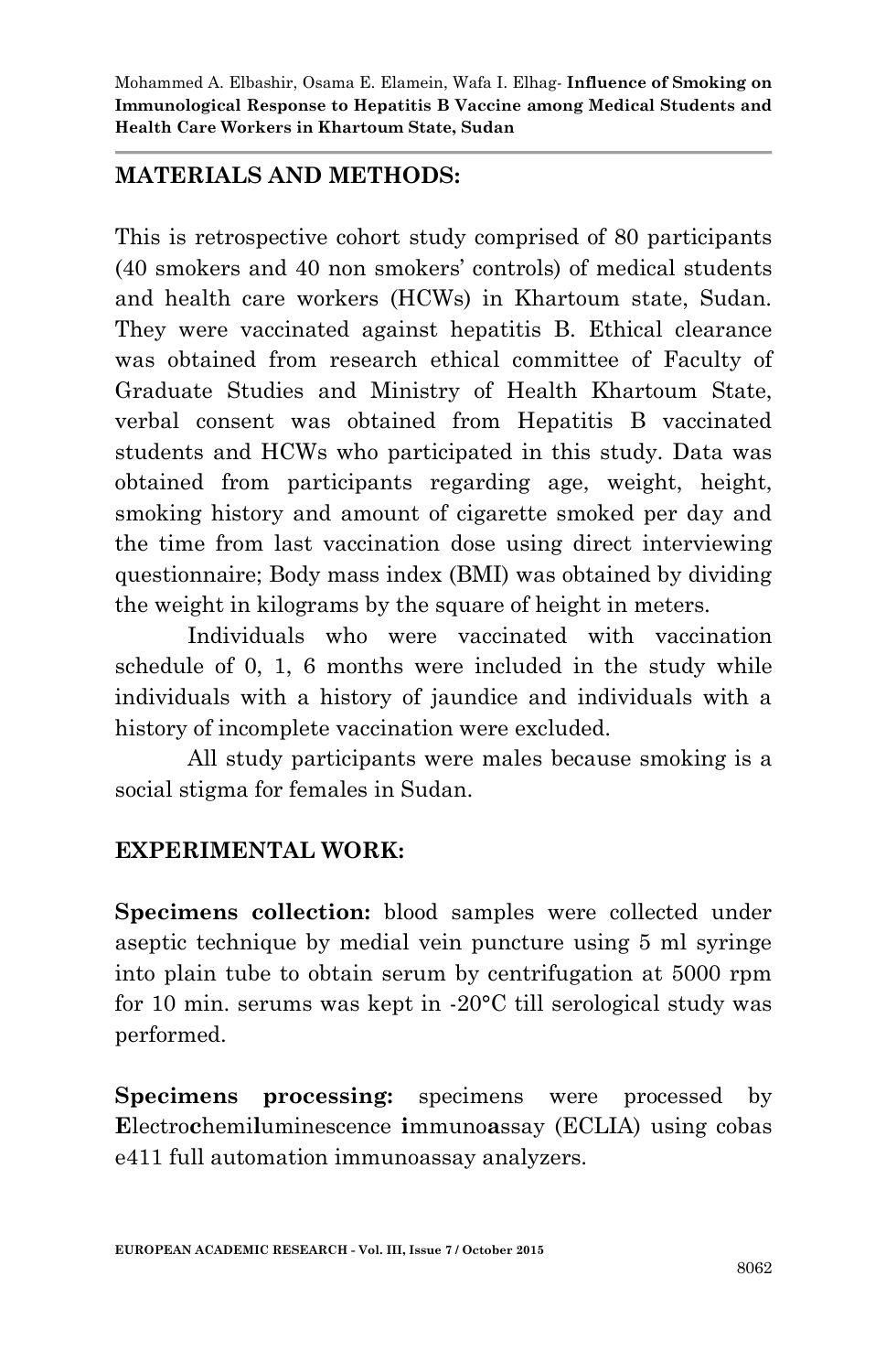## **MATERIALS AND METHODS:**

This is retrospective cohort study comprised of 80 participants (40 smokers and 40 non smokers' controls) of medical students and health care workers (HCWs) in Khartoum state, Sudan. They were vaccinated against hepatitis B. Ethical clearance was obtained from research ethical committee of Faculty of Graduate Studies and Ministry of Health Khartoum State, verbal consent was obtained from Hepatitis B vaccinated students and HCWs who participated in this study. Data was obtained from participants regarding age, weight, height, smoking history and amount of cigarette smoked per day and the time from last vaccination dose using direct interviewing questionnaire; Body mass index (BMI) was obtained by dividing the weight in kilograms by the square of height in meters.

Individuals who were vaccinated with vaccination schedule of 0, 1, 6 months were included in the study while individuals with a history of jaundice and individuals with a history of incomplete vaccination were excluded.

All study participants were males because smoking is a social stigma for females in Sudan.

## **EXPERIMENTAL WORK:**

**Specimens collection:** blood samples were collected under aseptic technique by medial vein puncture using 5 ml syringe into plain tube to obtain serum by centrifugation at 5000 rpm for 10 min. serums was kept in -20°C till serological study was performed.

**Specimens processing:** specimens were processed by **E**lectro**c**hemi**l**uminescence **i**mmuno**a**ssay (ECLIA) using cobas e411 full automation immunoassay analyzers.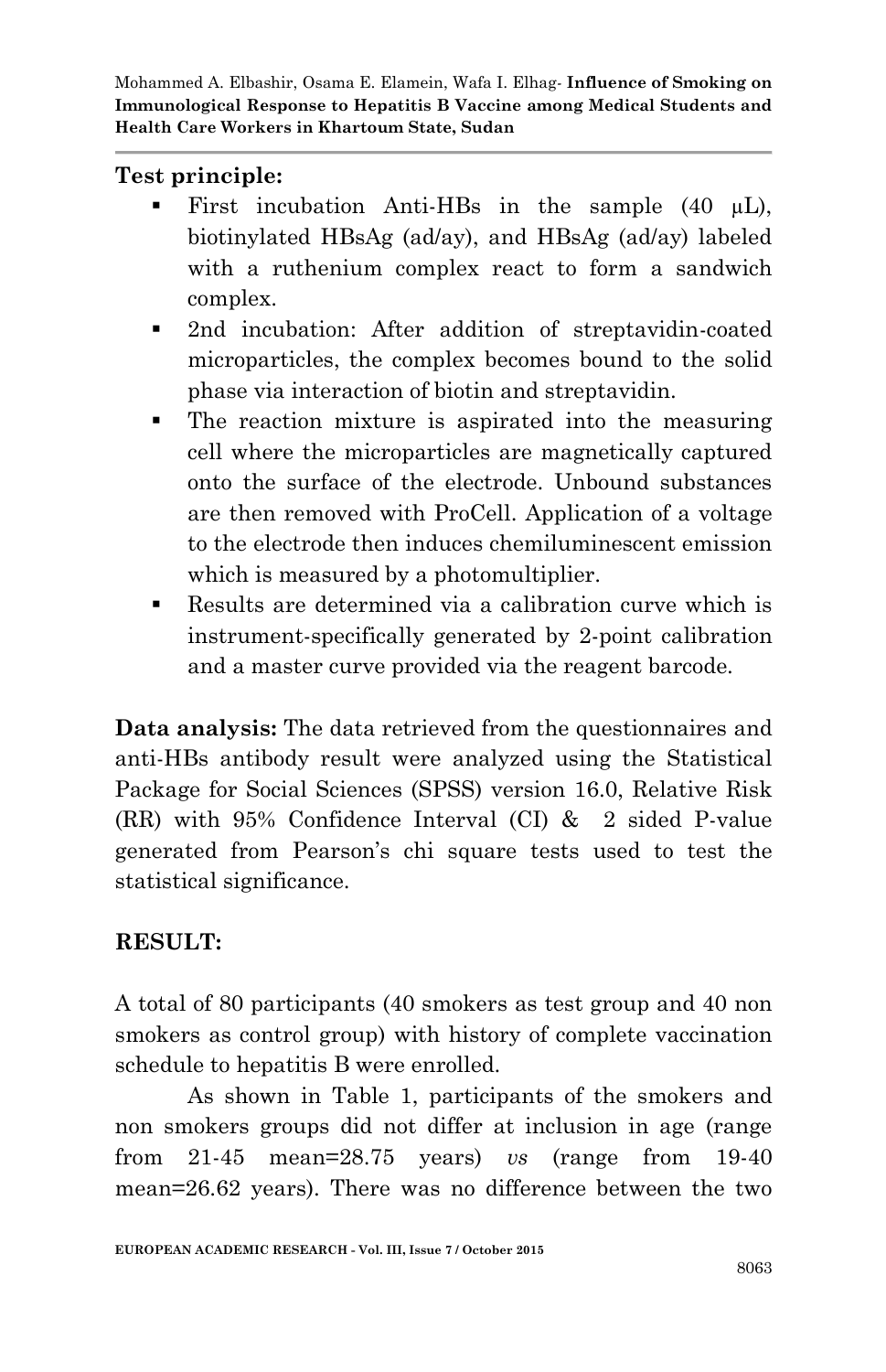# **Test principle:**

- First incubation Anti-HBs in the sample  $(40 \mu L)$ , biotinylated HBsAg (ad/ay), and HBsAg (ad/ay) labeled with a ruthenium complex react to form a sandwich complex.
- 2nd incubation: After addition of streptavidin-coated microparticles, the complex becomes bound to the solid phase via interaction of biotin and streptavidin.
- The reaction mixture is aspirated into the measuring cell where the microparticles are magnetically captured onto the surface of the electrode. Unbound substances are then removed with ProCell. Application of a voltage to the electrode then induces chemiluminescent emission which is measured by a photomultiplier.
- Results are determined via a calibration curve which is instrument-specifically generated by 2-point calibration and a master curve provided via the reagent barcode.

**Data analysis:** The data retrieved from the questionnaires and anti-HBs antibody result were analyzed using the Statistical Package for Social Sciences (SPSS) version 16.0, Relative Risk (RR) with 95% Confidence Interval (CI) & 2 sided P-value generated from Pearson's chi square tests used to test the statistical significance.

# **RESULT:**

A total of 80 participants (40 smokers as test group and 40 non smokers as control group) with history of complete vaccination schedule to hepatitis B were enrolled.

As shown in Table 1, participants of the smokers and non smokers groups did not differ at inclusion in age (range from 21-45 mean=28.75 years) *vs* (range from 19-40 mean=26.62 years). There was no difference between the two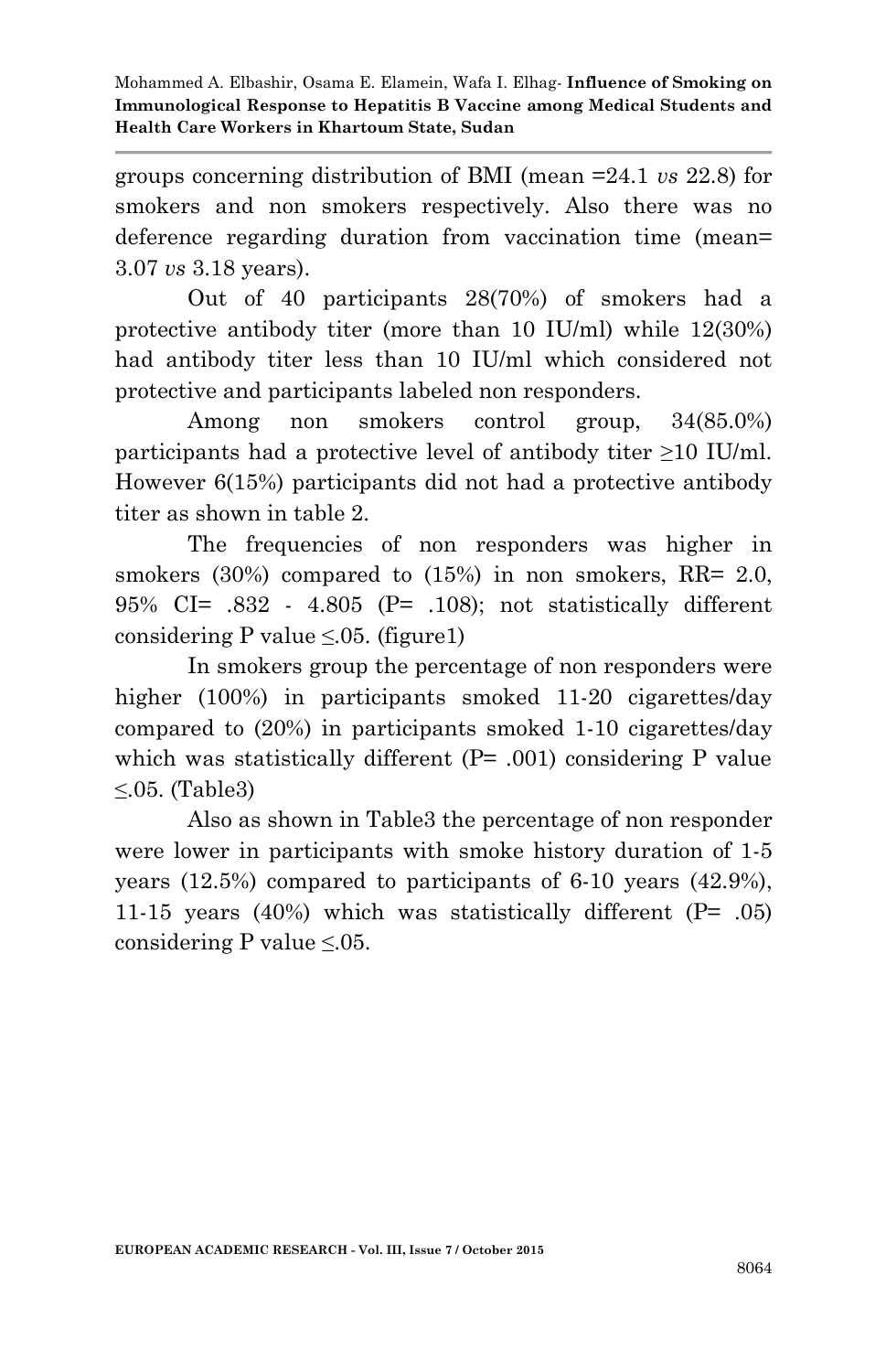groups concerning distribution of BMI (mean =24.1 *vs* 22.8) for smokers and non smokers respectively. Also there was no deference regarding duration from vaccination time (mean= 3.07 *vs* 3.18 years).

Out of 40 participants 28(70%) of smokers had a protective antibody titer (more than 10 IU/ml) while 12(30%) had antibody titer less than 10 IU/ml which considered not protective and participants labeled non responders.

Among non smokers control group, 34(85.0%) participants had a protective level of antibody titer ≥10 IU/ml. However 6(15%) participants did not had a protective antibody titer as shown in table 2.

The frequencies of non responders was higher in smokers (30%) compared to (15%) in non smokers, RR= 2.0, 95% CI= .832 - 4.805 (P= .108); not statistically different considering P value  $\leq 0.05$ . (figure1)

In smokers group the percentage of non responders were higher (100%) in participants smoked 11-20 cigarettes/day compared to (20%) in participants smoked 1-10 cigarettes/day which was statistically different (P= .001) considering P value ≤.05. (Table3)

Also as shown in Table3 the percentage of non responder were lower in participants with smoke history duration of 1-5 years (12.5%) compared to participants of 6-10 years (42.9%), 11-15 years (40%) which was statistically different ( $P= .05$ ) considering P value  $\leq 0.05$ .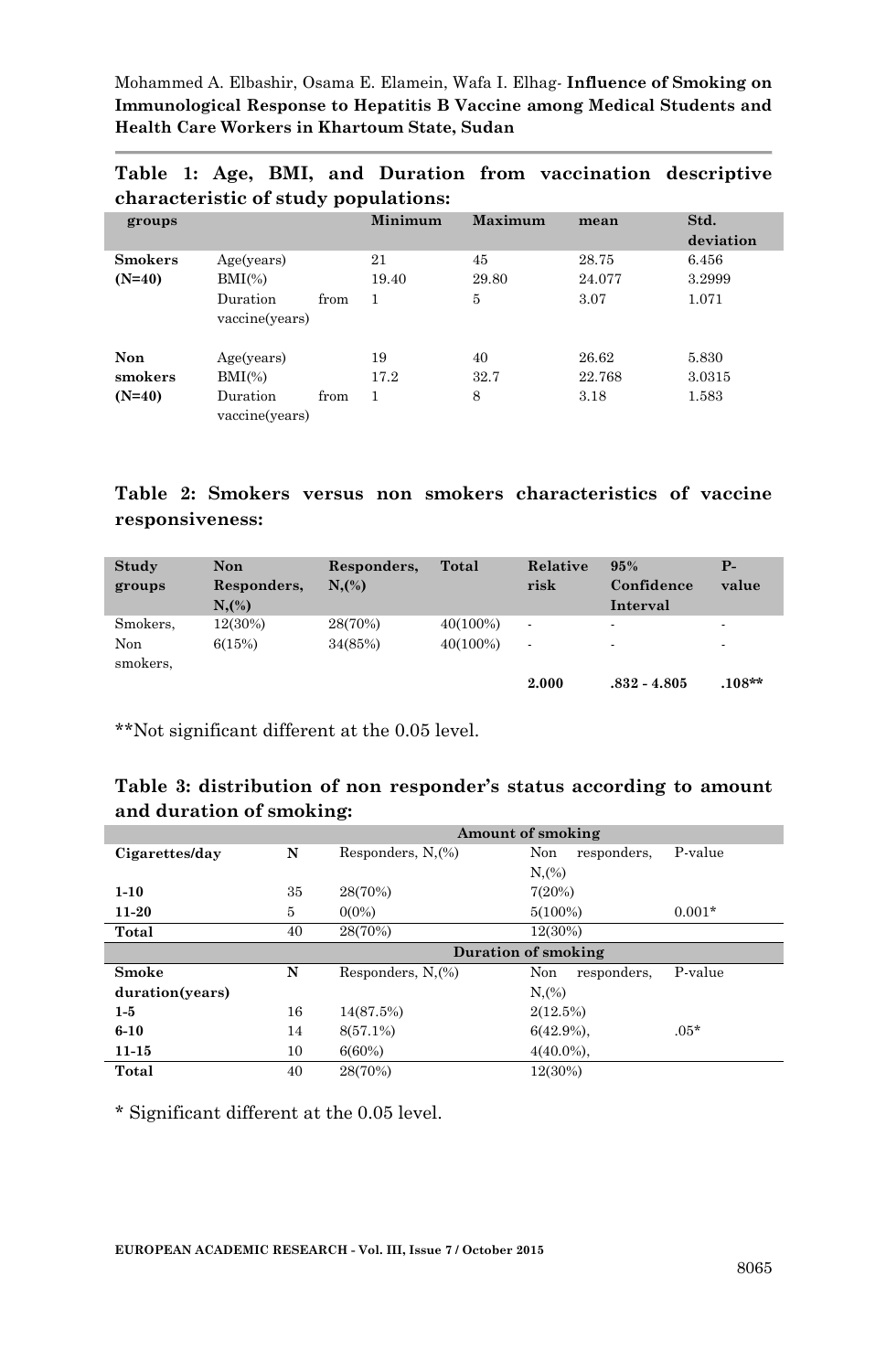| $\alpha$                   |                                                                |      |             |                 |                         |                          |  |
|----------------------------|----------------------------------------------------------------|------|-------------|-----------------|-------------------------|--------------------------|--|
| groups                     |                                                                |      | Minimum     | Maximum         | mean                    | Std.<br>deviation        |  |
| <b>Smokers</b><br>$(N=40)$ | Age(years)<br>$\mathrm{BMI}(\%)$                               |      | 21<br>19.40 | 45<br>29.80     | 28.75<br>24.077         | 6.456<br>3.2999          |  |
|                            | Duration<br>vaccine(years)                                     | from | 1           | 5               | 3.07                    | 1.071                    |  |
| Non<br>smokers<br>$(N=40)$ | Age(years)<br>$\mathrm{BMI}(\%)$<br>Duration<br>vaccine(years) | from | 19<br>17.2  | 40<br>32.7<br>8 | 26.62<br>22.768<br>3.18 | 5.830<br>3.0315<br>1.583 |  |

**Table 1: Age, BMI, and Duration from vaccination descriptive characteristic of study populations:**

#### **Table 2: Smokers versus non smokers characteristics of vaccine responsiveness:**

| Study<br>groups | <b>Non</b><br>Responders,<br>$N_{1}(%)$ | Responders,<br>$N_{\rm s}$ (%) | Total       | Relative<br>risk         | 95%<br>Confidence<br>Interval | $P-$<br>value |
|-----------------|-----------------------------------------|--------------------------------|-------------|--------------------------|-------------------------------|---------------|
| Smokers,        | 12(30%)                                 | 28(70%)                        | $40(100\%)$ | $\overline{\phantom{a}}$ | $\overline{\phantom{a}}$      |               |
| Non<br>smokers. | 6(15%)                                  | 34(85%)                        | $40(100\%)$ | ٠                        | $\overline{\phantom{a}}$      |               |
|                 |                                         |                                |             | 2.000                    | $.832 - 4.805$                | $.108**$      |

\*\*Not significant different at the 0.05 level.

#### **Table 3: distribution of non responder's status according to amount and duration of smoking:**

|                 |    | Amount of smoking   |                    |          |  |  |  |
|-----------------|----|---------------------|--------------------|----------|--|--|--|
| Cigarettes/day  | N  | Responders, N.(%)   | Non<br>responders, | P-value  |  |  |  |
|                 |    |                     | $N_{1}(%)$         |          |  |  |  |
| $1 - 10$        | 35 | 28(70%)             | 7(20%)             |          |  |  |  |
| $11 - 20$       | 5  | $0(0\%)$            | $5(100\%)$         | $0.001*$ |  |  |  |
| Total           | 40 | 28(70%)             | 12(30%)            |          |  |  |  |
|                 |    | Duration of smoking |                    |          |  |  |  |
|                 |    |                     | Non                | P-value  |  |  |  |
| Smoke           | N  | Responders, N.(%)   | responders,        |          |  |  |  |
| duration(years) |    |                     | N,(%)              |          |  |  |  |
| $1-5$           | 16 | 14(87.5%)           | 2(12.5%)           |          |  |  |  |
| $6 - 10$        | 14 | 8(57.1%)            | $6(42.9\%)$ ,      | $.05*$   |  |  |  |
| $11 - 15$       | 10 | 6(60%)              | $4(40.0\%)$ ,      |          |  |  |  |

\* Significant different at the 0.05 level.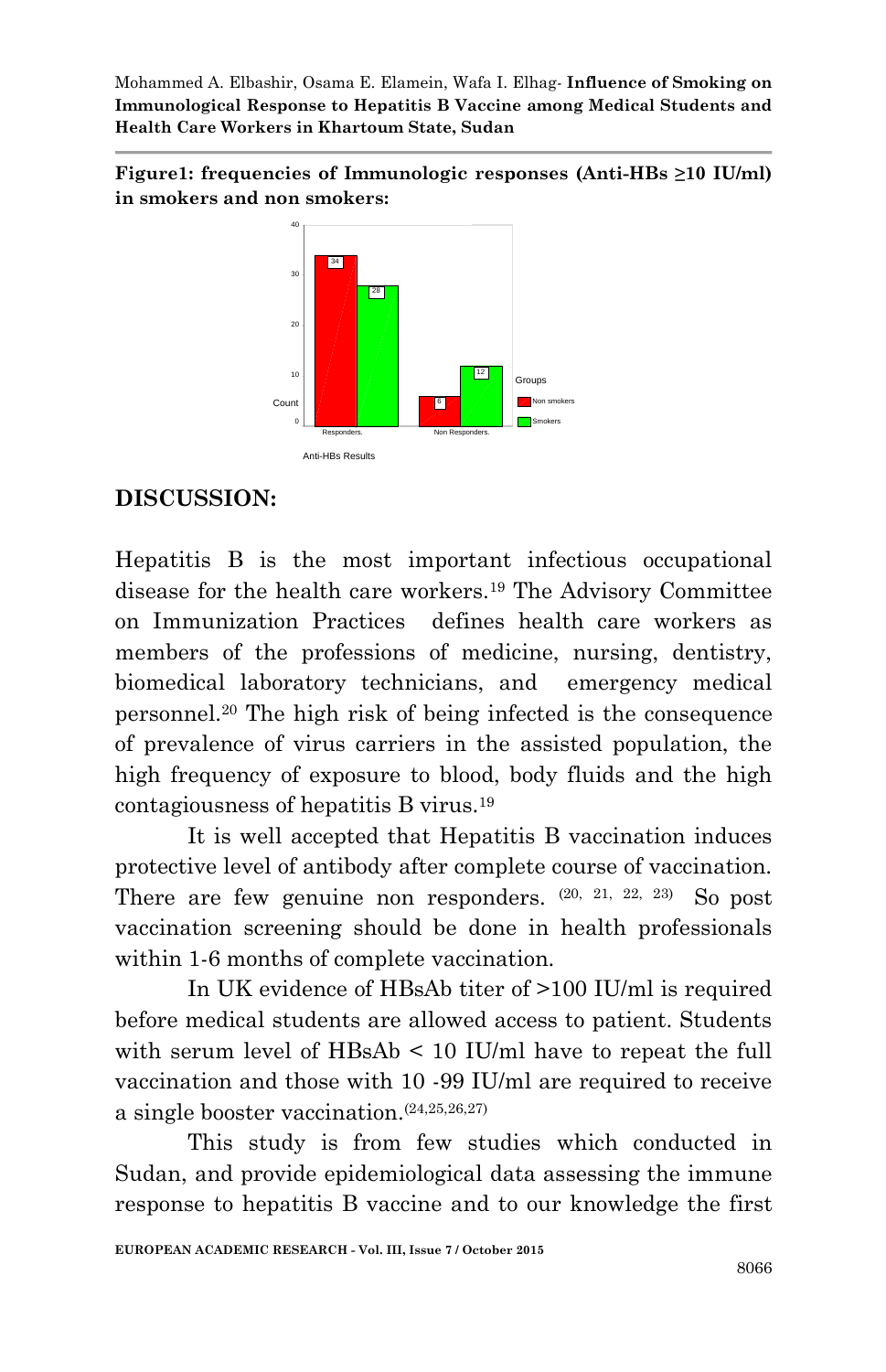**Figure1: frequencies of Immunologic responses (Anti-HBs ≥10 IU/ml) in smokers and non smokers:**



# **DISCUSSION:**

Hepatitis B is the most important infectious occupational disease for the health care workers.<sup>19</sup> The Advisory Committee on Immunization Practices defines health care workers as members of the professions of medicine, nursing, dentistry, biomedical laboratory technicians, and emergency medical personnel.<sup>20</sup> The high risk of being infected is the consequence of prevalence of virus carriers in the assisted population, the high frequency of exposure to blood, body fluids and the high contagiousness of hepatitis B virus.<sup>19</sup>

It is well accepted that Hepatitis B vaccination induces protective level of antibody after complete course of vaccination. There are few genuine non responders.  $(20, 21, 22, 23)$  So post vaccination screening should be done in health professionals within 1-6 months of complete vaccination.

In UK evidence of HBsAb titer of >100 IU/ml is required before medical students are allowed access to patient. Students with serum level of HBsAb < 10 IU/ml have to repeat the full vaccination and those with 10 -99 IU/ml are required to receive a single booster vaccination.(24,25,26,27)

This study is from few studies which conducted in Sudan, and provide epidemiological data assessing the immune response to hepatitis B vaccine and to our knowledge the first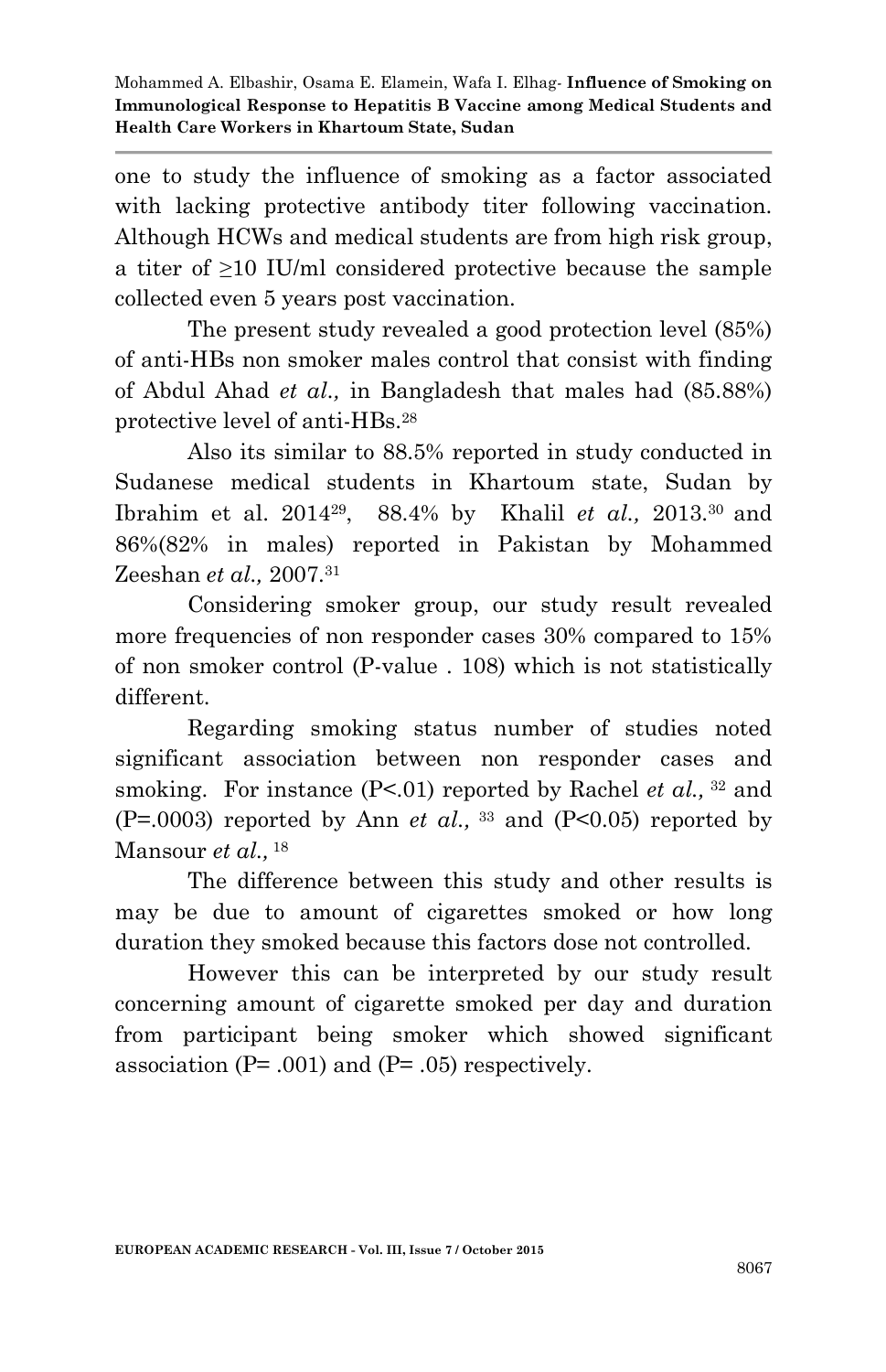one to study the influence of smoking as a factor associated with lacking protective antibody titer following vaccination. Although HCWs and medical students are from high risk group, a titer of ≥10 IU/ml considered protective because the sample collected even 5 years post vaccination.

The present study revealed a good protection level (85%) of anti-HBs non smoker males control that consist with finding of Abdul Ahad *et al.,* in Bangladesh that males had (85.88%) protective level of anti-HBs.<sup>28</sup>

Also its similar to 88.5% reported in study conducted in Sudanese medical students in Khartoum state, Sudan by Ibrahim et al. 2014<sup>29</sup> , 88.4% by Khalil *et al.,* 2013.<sup>30</sup> and 86%(82% in males) reported in Pakistan by Mohammed Zeeshan *et al.,* 2007.<sup>31</sup>

Considering smoker group, our study result revealed more frequencies of non responder cases 30% compared to 15% of non smoker control (P-value . 108) which is not statistically different.

Regarding smoking status number of studies noted significant association between non responder cases and smoking. For instance (P<.01) reported by Rachel *et al.*, <sup>32</sup> and  $(P=0.0003)$  reported by Ann *et al.*, <sup>33</sup> and  $(P<0.05)$  reported by Mansour *et al.,* 18

The difference between this study and other results is may be due to amount of cigarettes smoked or how long duration they smoked because this factors dose not controlled.

However this can be interpreted by our study result concerning amount of cigarette smoked per day and duration from participant being smoker which showed significant association ( $P = .001$ ) and ( $P = .05$ ) respectively.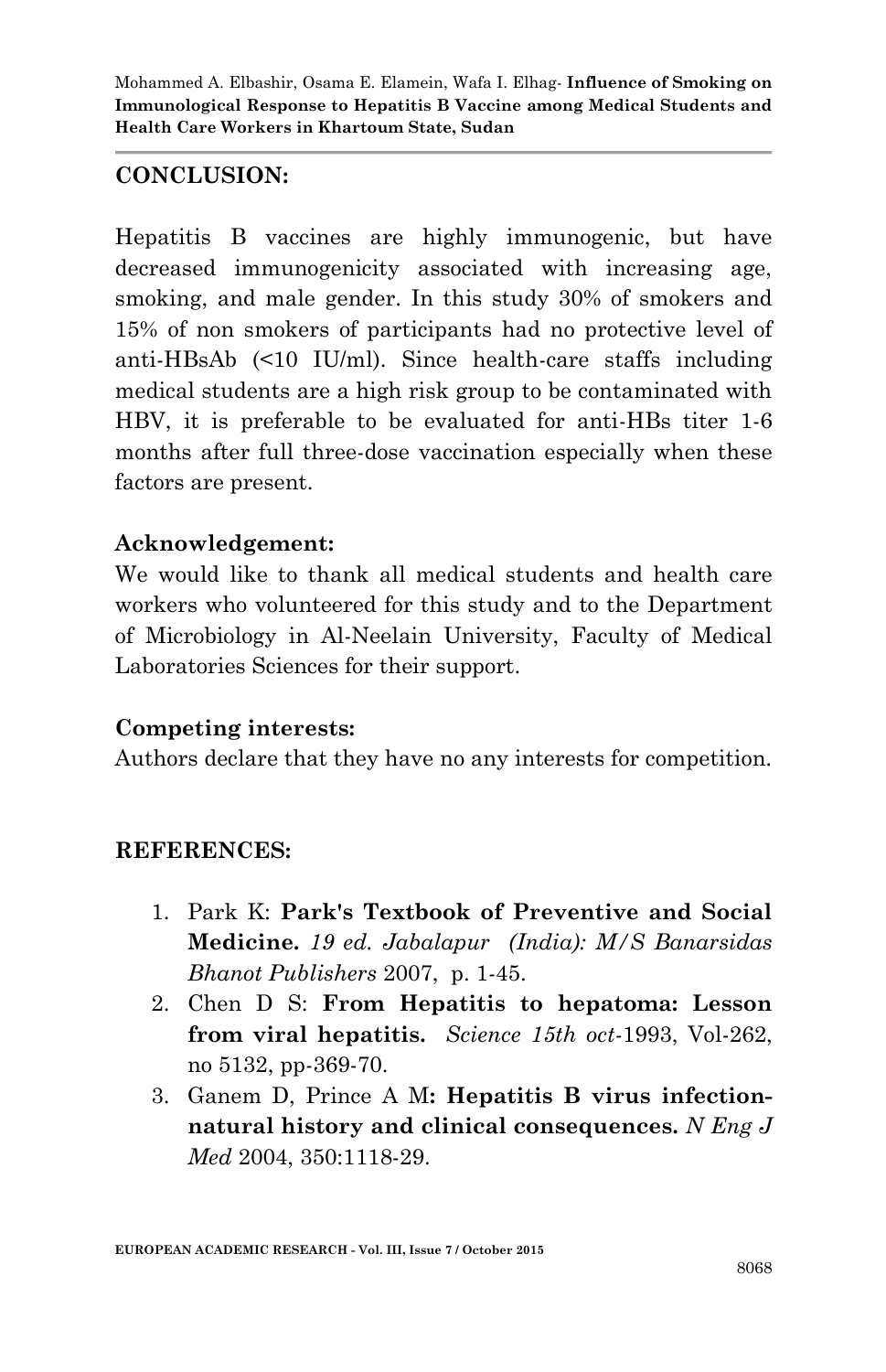## **CONCLUSION:**

Hepatitis B vaccines are highly immunogenic, but have decreased immunogenicity associated with increasing age, smoking, and male gender. In this study 30% of smokers and 15% of non smokers of participants had no protective level of anti-HBsAb (<10 IU/ml). Since health-care staffs including medical students are a high risk group to be contaminated with HBV, it is preferable to be evaluated for anti-HBs titer 1-6 months after full three-dose vaccination especially when these factors are present.

## **Acknowledgement:**

We would like to thank all medical students and health care workers who volunteered for this study and to the Department of Microbiology in Al-Neelain University, Faculty of Medical Laboratories Sciences for their support.

## **Competing interests:**

Authors declare that they have no any interests for competition.

## **REFERENCES:**

- 1. Park K: **Park's Textbook of Preventive and Social Medicine.** *19 ed. Jabalapur (India): M/S Banarsidas Bhanot Publishers* 2007, p. 1-45.
- 2. Chen D S: **From Hepatitis to hepatoma: Lesson from viral hepatitis.** *Science 15th oct-*1993, Vol-262, no 5132, pp-369-70.
- 3. Ganem D, Prince A M**: Hepatitis B virus infectionnatural history and clinical consequences.** *N Eng J Med* 2004, 350:1118-29.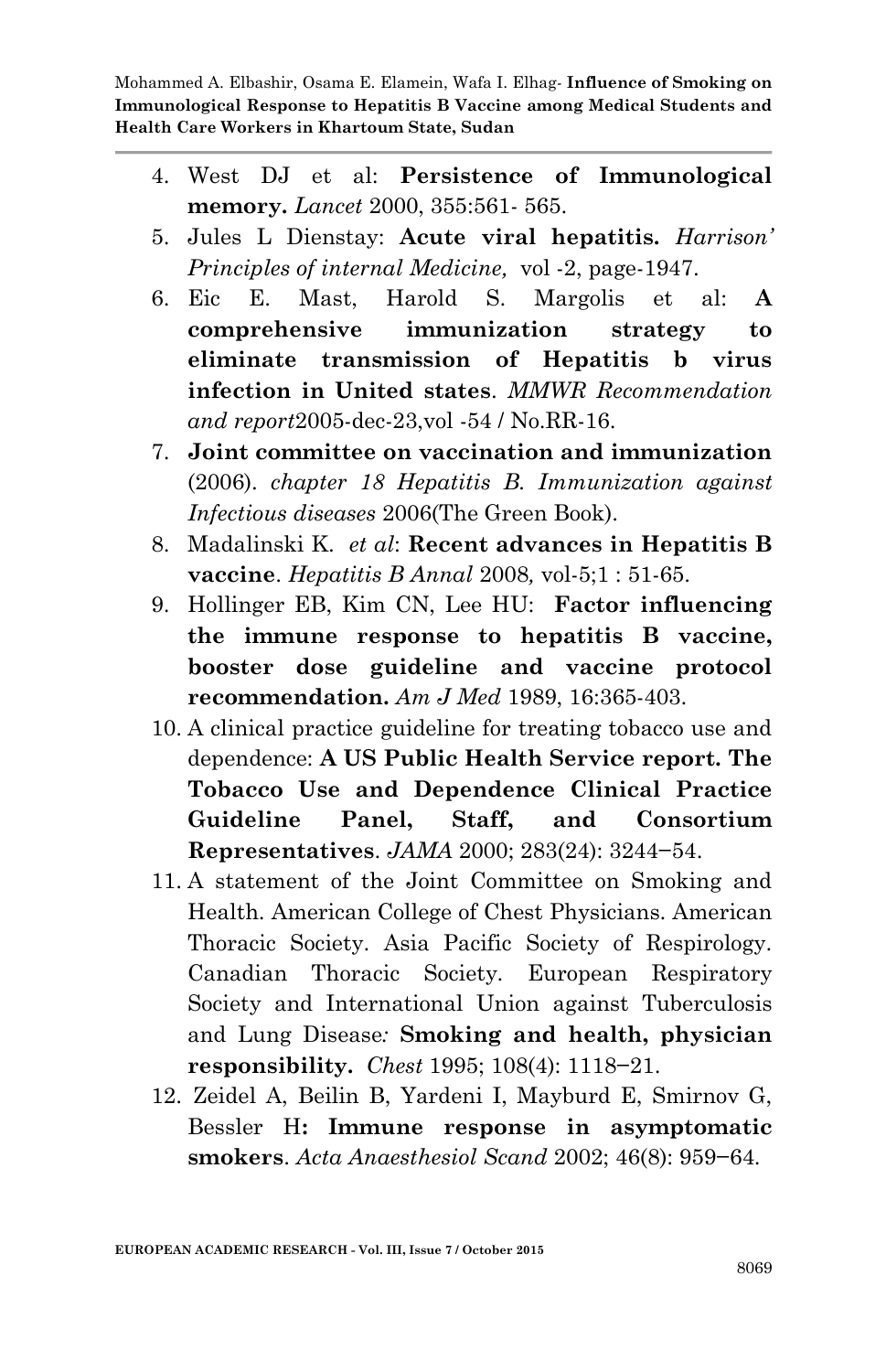- 4. West DJ et al: **Persistence of Immunological memory.** *Lancet* 2000, 355:561- 565.
- 5. Jules L Dienstay: **Acute viral hepatitis.** *Harrison' Principles of internal Medicine,* vol -2, page-1947.
- 6. Eic E. Mast, Harold S. Margolis et al: **A comprehensive immunization strategy to eliminate transmission of Hepatitis b virus infection in United states**. *MMWR Recommendation and report*2005-dec-23,vol -54 / No.RR-16.
- 7. **Joint committee on vaccination and immunization** (2006). *chapter 18 Hepatitis B. Immunization against Infectious diseases* 2006(The Green Book).
- 8. Madalinski K. *et al*: **Recent advances in Hepatitis B vaccine**. *Hepatitis B Annal* 2008*,* vol-5;1 : 51-65.
- 9. Hollinger EB, Kim CN, Lee HU: **Factor influencing the immune response to hepatitis B vaccine, booster dose guideline and vaccine protocol recommendation.** *Am J Med* 1989, 16:365-403.
- 10. A clinical practice guideline for treating tobacco use and dependence: **A US Public Health Service report. The Tobacco Use and Dependence Clinical Practice Guideline Panel, Staff, and Consortium Representatives**. *JAMA* 2000; 283(24): 3244−54.
- 11. A statement of the Joint Committee on Smoking and Health. American College of Chest Physicians. American Thoracic Society. Asia Pacific Society of Respirology. Canadian Thoracic Society. European Respiratory Society and International Union against Tuberculosis and Lung Disease*:* **Smoking and health, physician responsibility.** *Chest* 1995; 108(4): 1118−21.
- 12. Zeidel A, Beilin B, Yardeni I, Mayburd E, Smirnov G, Bessler H**: Immune response in asymptomatic smokers**. *Acta Anaesthesiol Scand* 2002; 46(8): 959−64.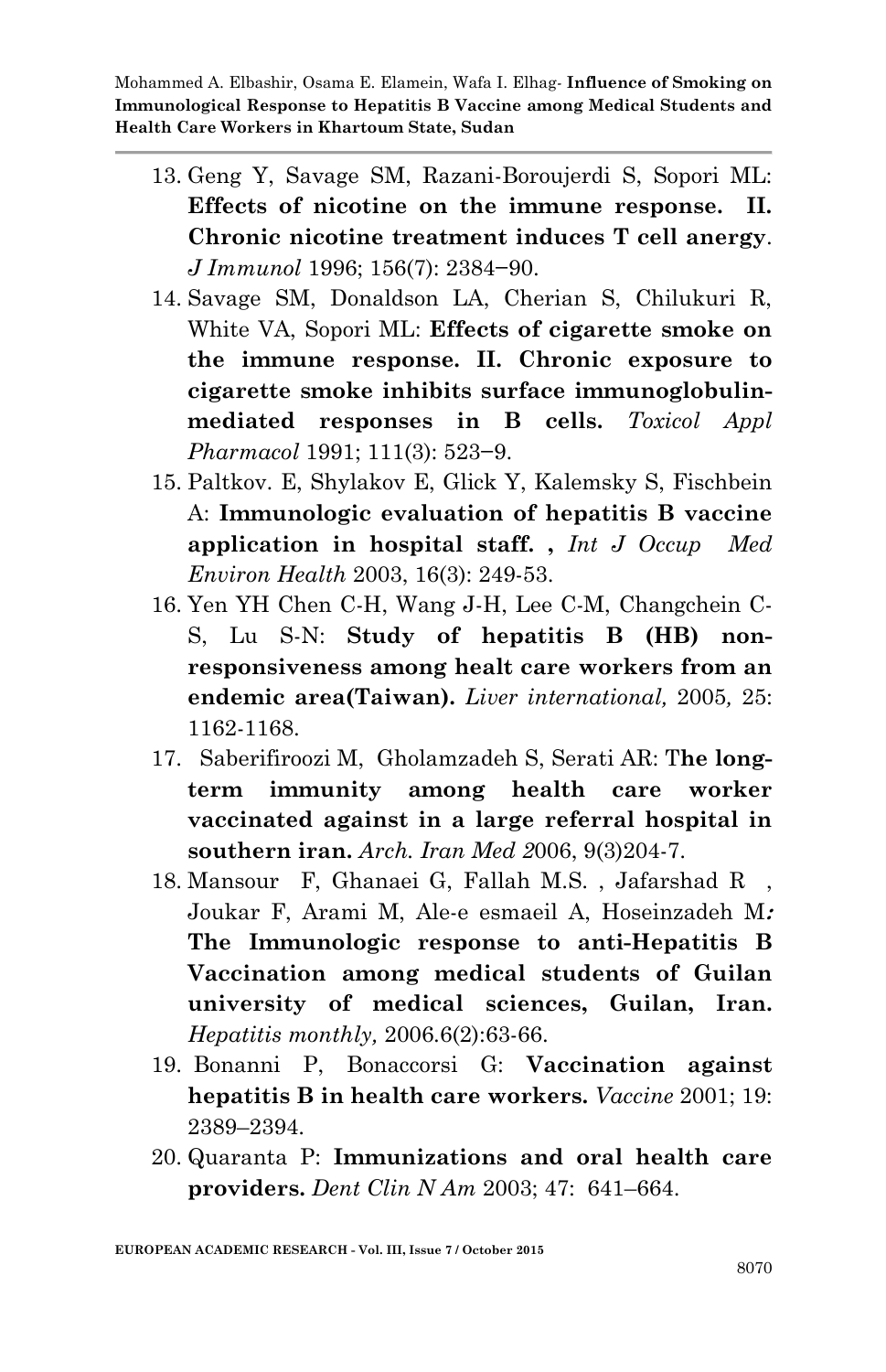- 13. Geng Y, Savage SM, Razani-Boroujerdi S, Sopori ML: **Effects of nicotine on the immune response. II. Chronic nicotine treatment induces T cell anergy**. *J Immunol* 1996; 156(7): 2384−90.
- 14. Savage SM, Donaldson LA, Cherian S, Chilukuri R, White VA, Sopori ML: **Effects of cigarette smoke on the immune response. II. Chronic exposure to cigarette smoke inhibits surface immunoglobulinmediated responses in B cells.** *Toxicol Appl Pharmacol* 1991; 111(3): 523−9.
- 15. Paltkov. E, Shylakov E, Glick Y, Kalemsky S, Fischbein A: **Immunologic evaluation of hepatitis B vaccine application in hospital staff. ,** *Int J Occup Med Environ Health* 2003, 16(3): 249-53.
- 16. Yen YH Chen C-H, Wang J-H, Lee C-M, Changchein C-S, Lu S-N: **Study of hepatitis B (HB) nonresponsiveness among healt care workers from an endemic area(Taiwan).** *Liver international,* 2005*,* 25: 1162-1168.
- 17. Saberifiroozi M, Gholamzadeh S, Serati AR: T**he longterm immunity among health care worker vaccinated against in a large referral hospital in southern iran.** *Arch. Iran Med 2*006, 9(3)204-7.
- 18. Mansour F, Ghanaei G, Fallah M.S. , Jafarshad R , Joukar F, Arami M, Ale-e esmaeil A, Hoseinzadeh M**: The Immunologic response to anti-Hepatitis B Vaccination among medical students of Guilan university of medical sciences, Guilan, Iran.**  *Hepatitis monthly,* 2006.6(2):63-66.
- 19. Bonanni P, Bonaccorsi G: **Vaccination against hepatitis B in health care workers.** *Vaccine* 2001; 19: 2389–2394.
- 20. Quaranta P: **Immunizations and oral health care providers.** *Dent Clin N Am* 2003; 47: 641–664.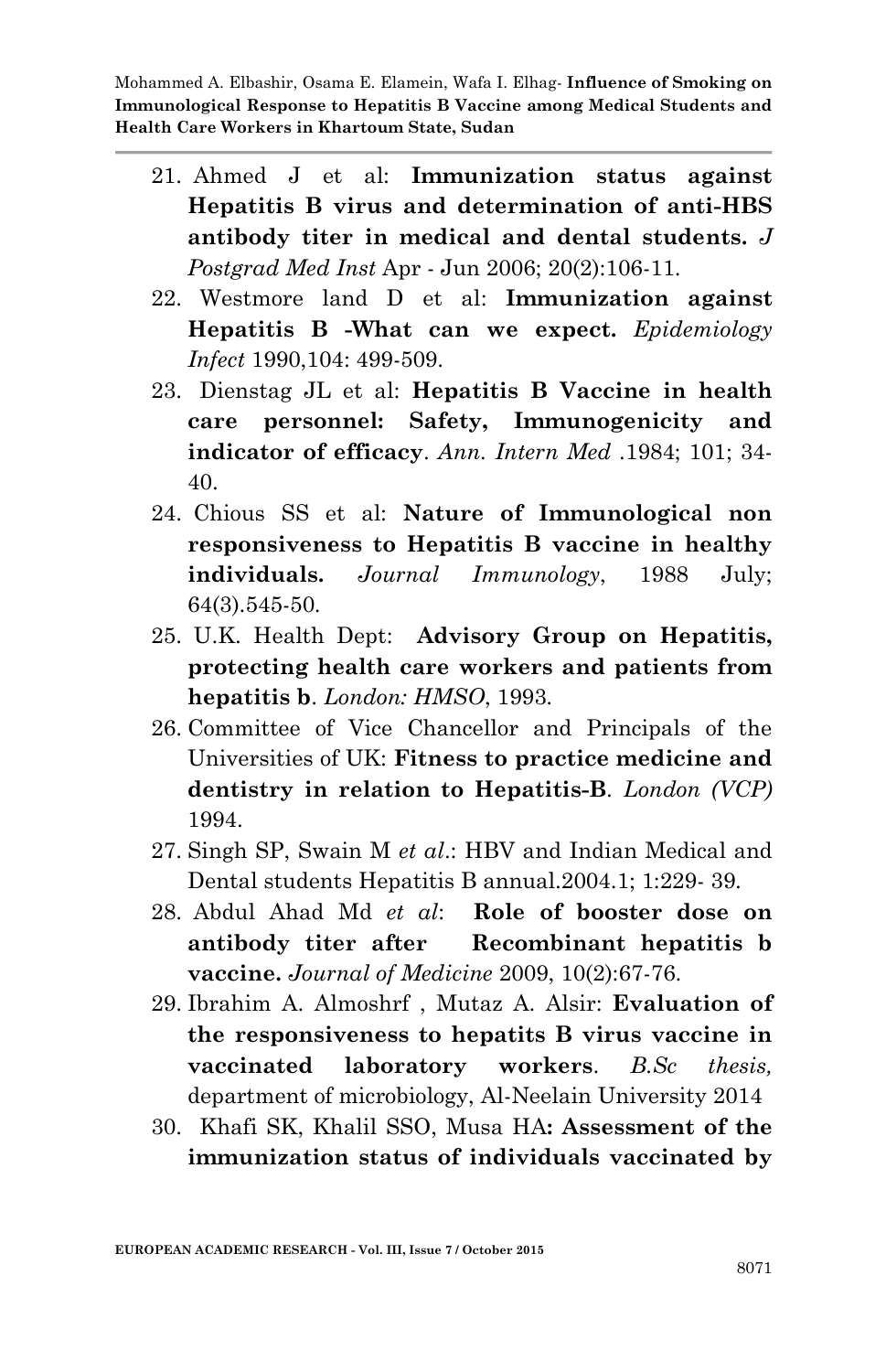- 21. Ahmed J et al: **Immunization status against Hepatitis B virus and determination of anti-HBS antibody titer in medical and dental students.** *J Postgrad Med Inst* Apr - Jun 2006; 20(2):106-11.
- 22. Westmore land D et al: **Immunization against Hepatitis B -What can we expect.** *Epidemiology Infect* 1990,104: 499-509.
- 23. Dienstag JL et al: **Hepatitis B Vaccine in health care personnel: Safety, Immunogenicity and indicator of efficacy**. *Ann. Intern Med* .1984; 101; 34- 40.
- 24. Chious SS et al: **Nature of Immunological non responsiveness to Hepatitis B vaccine in healthy individuals.** *Journal Immunology*, 1988 July; 64(3).545-50.
- 25. U.K. Health Dept: **Advisory Group on Hepatitis, protecting health care workers and patients from hepatitis b**. *London: HMSO*, 1993.
- 26. Committee of Vice Chancellor and Principals of the Universities of UK: **Fitness to practice medicine and dentistry in relation to Hepatitis-B**. *London (VCP)* 1994.
- 27. Singh SP, Swain M *et al*.: HBV and Indian Medical and Dental students Hepatitis B annual.2004.1; 1:229- 39.
- 28. Abdul Ahad Md *et al*: **Role of booster dose on antibody titer after Recombinant hepatitis b vaccine.** *Journal of Medicine* 2009, 10(2):67-76.
- 29. Ibrahim A. Almoshrf , Mutaz A. Alsir: **Evaluation of the responsiveness to hepatits B virus vaccine in vaccinated laboratory workers**. *B.Sc thesis,* department of microbiology, Al-Neelain University 2014
- 30. Khafi SK, Khalil SSO, Musa HA**: Assessment of the immunization status of individuals vaccinated by**